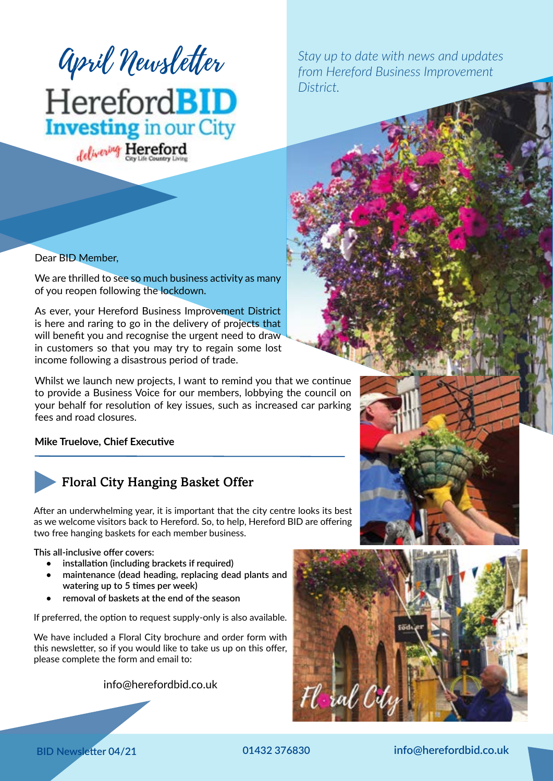

*from Hereford Business Improvement District.*

### Dear BID Member,

We are thrilled to see so much business activity as many of you reopen following the lockdown.

As ever, your Hereford Business Improvement District is here and raring to go in the delivery of projects that will benefit you and recognise the urgent need to draw in customers so that you may try to regain some lost income following a disastrous period of trade.

Whilst we launch new projects, I want to remind you that we continue to provide a Business Voice for our members, lobbying the council on your behalf for resolution of key issues, such as increased car parking fees and road closures.

**Mike Truelove, Chief Executive**



## Floral City Hanging Basket Offer

After an underwhelming year, it is important that the city centre looks its best as we welcome visitors back to Hereford. So, to help, Hereford BID are offering two free hanging baskets for each member business.

**This all-inclusive offer covers:**

- **• installation (including brackets if required)**
- **• maintenance (dead heading, replacing dead plants and watering up to 5 times per week)**
- **• removal of baskets at the end of the season**

If preferred, the option to request supply-only is also available.

We have included a Floral City brochure and order form with this newsletter, so if you would like to take us up on this offer, please complete the form and email to:

info@herefordbid.co.uk